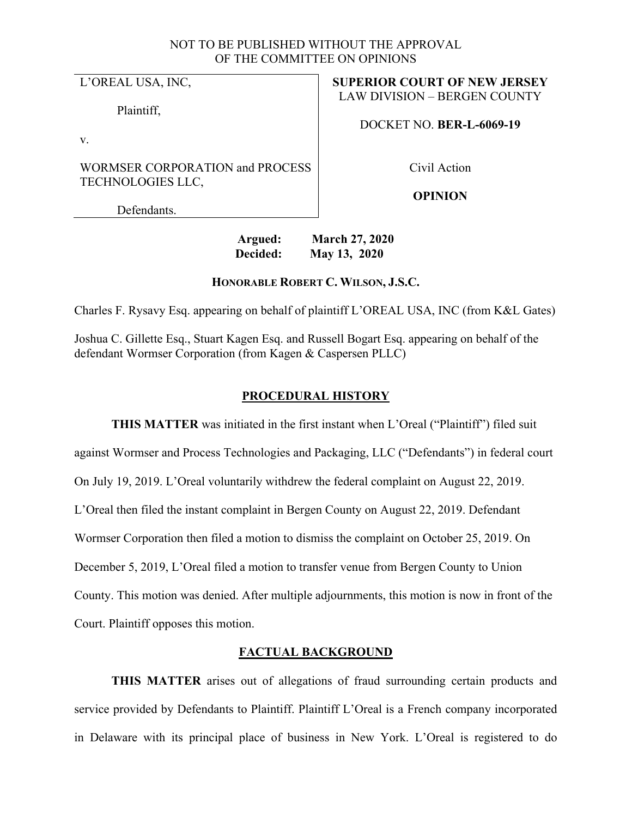## NOT TO BE PUBLISHED WITHOUT THE APPROVAL OF THE COMMITTEE ON OPINIONS

L'OREAL USA, INC,

Plaintiff,

v.

WORMSER CORPORATION and PROCESS TECHNOLOGIES LLC,

**SUPERIOR COURT OF NEW JERSEY** LAW DIVISION – BERGEN COUNTY

DOCKET NO. **BER-L-6069-19**

Civil Action

**OPINION**

Defendants.

# **Argued: March 27, 2020 Decided: May 13, 2020**

# **HONORABLE ROBERT C. WILSON, J.S.C.**

Charles F. Rysavy Esq. appearing on behalf of plaintiff L'OREAL USA, INC (from K&L Gates)

Joshua C. Gillette Esq., Stuart Kagen Esq. and Russell Bogart Esq. appearing on behalf of the defendant Wormser Corporation (from Kagen & Caspersen PLLC)

# **PROCEDURAL HISTORY**

**THIS MATTER** was initiated in the first instant when L'Oreal ("Plaintiff") filed suit against Wormser and Process Technologies and Packaging, LLC ("Defendants") in federal court On July 19, 2019. L'Oreal voluntarily withdrew the federal complaint on August 22, 2019. L'Oreal then filed the instant complaint in Bergen County on August 22, 2019. Defendant Wormser Corporation then filed a motion to dismiss the complaint on October 25, 2019. On December 5, 2019, L'Oreal filed a motion to transfer venue from Bergen County to Union County. This motion was denied. After multiple adjournments, this motion is now in front of the Court. Plaintiff opposes this motion.

# **FACTUAL BACKGROUND**

**THIS MATTER** arises out of allegations of fraud surrounding certain products and service provided by Defendants to Plaintiff. Plaintiff L'Oreal is a French company incorporated in Delaware with its principal place of business in New York. L'Oreal is registered to do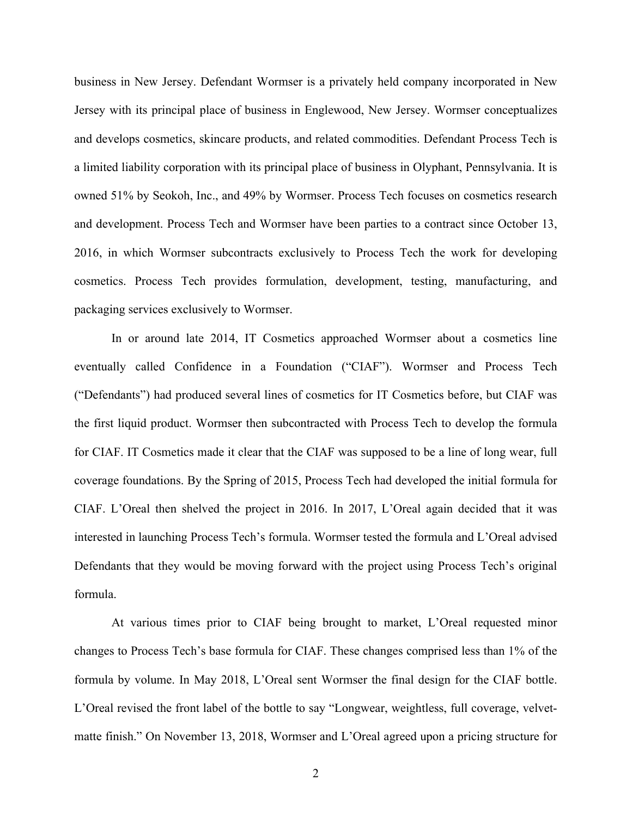business in New Jersey. Defendant Wormser is a privately held company incorporated in New Jersey with its principal place of business in Englewood, New Jersey. Wormser conceptualizes and develops cosmetics, skincare products, and related commodities. Defendant Process Tech is a limited liability corporation with its principal place of business in Olyphant, Pennsylvania. It is owned 51% by Seokoh, Inc., and 49% by Wormser. Process Tech focuses on cosmetics research and development. Process Tech and Wormser have been parties to a contract since October 13, 2016, in which Wormser subcontracts exclusively to Process Tech the work for developing cosmetics. Process Tech provides formulation, development, testing, manufacturing, and packaging services exclusively to Wormser.

In or around late 2014, IT Cosmetics approached Wormser about a cosmetics line eventually called Confidence in a Foundation ("CIAF"). Wormser and Process Tech ("Defendants") had produced several lines of cosmetics for IT Cosmetics before, but CIAF was the first liquid product. Wormser then subcontracted with Process Tech to develop the formula for CIAF. IT Cosmetics made it clear that the CIAF was supposed to be a line of long wear, full coverage foundations. By the Spring of 2015, Process Tech had developed the initial formula for CIAF. L'Oreal then shelved the project in 2016. In 2017, L'Oreal again decided that it was interested in launching Process Tech's formula. Wormser tested the formula and L'Oreal advised Defendants that they would be moving forward with the project using Process Tech's original formula.

At various times prior to CIAF being brought to market, L'Oreal requested minor changes to Process Tech's base formula for CIAF. These changes comprised less than 1% of the formula by volume. In May 2018, L'Oreal sent Wormser the final design for the CIAF bottle. L'Oreal revised the front label of the bottle to say "Longwear, weightless, full coverage, velvetmatte finish." On November 13, 2018, Wormser and L'Oreal agreed upon a pricing structure for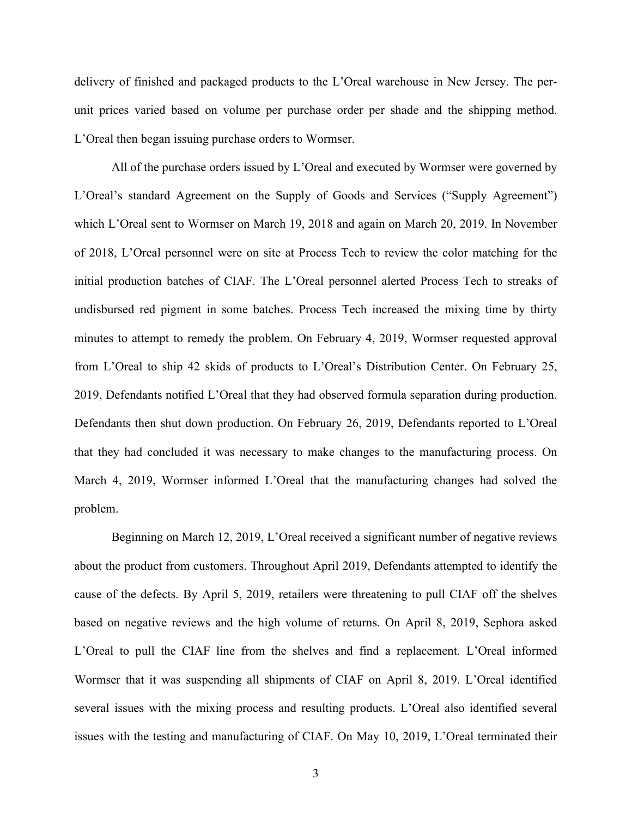delivery of finished and packaged products to the L'Oreal warehouse in New Jersey. The perunit prices varied based on volume per purchase order per shade and the shipping method. L'Oreal then began issuing purchase orders to Wormser.

All of the purchase orders issued by L'Oreal and executed by Wormser were governed by L'Oreal's standard Agreement on the Supply of Goods and Services ("Supply Agreement") which L'Oreal sent to Wormser on March 19, 2018 and again on March 20, 2019. In November of 2018, L'Oreal personnel were on site at Process Tech to review the color matching for the initial production batches of CIAF. The L'Oreal personnel alerted Process Tech to streaks of undisbursed red pigment in some batches. Process Tech increased the mixing time by thirty minutes to attempt to remedy the problem. On February 4, 2019, Wormser requested approval from L'Oreal to ship 42 skids of products to L'Oreal's Distribution Center. On February 25, 2019, Defendants notified L'Oreal that they had observed formula separation during production. Defendants then shut down production. On February 26, 2019, Defendants reported to L'Oreal that they had concluded it was necessary to make changes to the manufacturing process. On March 4, 2019, Wormser informed L'Oreal that the manufacturing changes had solved the problem.

Beginning on March 12, 2019, L'Oreal received a significant number of negative reviews about the product from customers. Throughout April 2019, Defendants attempted to identify the cause of the defects. By April 5, 2019, retailers were threatening to pull CIAF off the shelves based on negative reviews and the high volume of returns. On April 8, 2019, Sephora asked L'Oreal to pull the CIAF line from the shelves and find a replacement. L'Oreal informed Wormser that it was suspending all shipments of CIAF on April 8, 2019. L'Oreal identified several issues with the mixing process and resulting products. L'Oreal also identified several issues with the testing and manufacturing of CIAF. On May 10, 2019, L'Oreal terminated their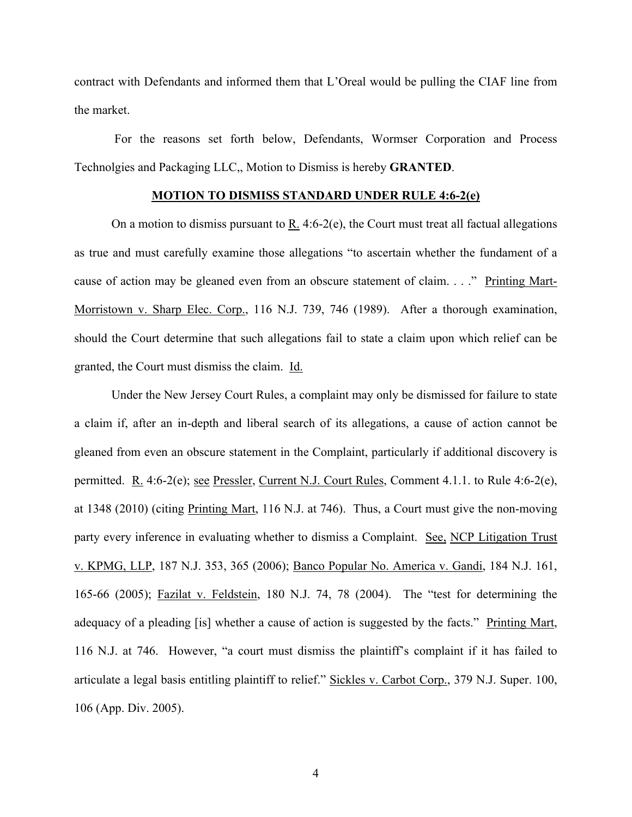contract with Defendants and informed them that L'Oreal would be pulling the CIAF line from the market.

For the reasons set forth below, Defendants, Wormser Corporation and Process Technolgies and Packaging LLC,, Motion to Dismiss is hereby **GRANTED**.

#### **MOTION TO DISMISS STANDARD UNDER RULE 4:6-2(e)**

On a motion to dismiss pursuant to  $R_1$ . 4:6-2(e), the Court must treat all factual allegations as true and must carefully examine those allegations "to ascertain whether the fundament of a cause of action may be gleaned even from an obscure statement of claim. . . ." Printing Mart-Morristown v. Sharp Elec. Corp., 116 N.J. 739, 746 (1989). After a thorough examination, should the Court determine that such allegations fail to state a claim upon which relief can be granted, the Court must dismiss the claim. Id.

Under the New Jersey Court Rules, a complaint may only be dismissed for failure to state a claim if, after an in-depth and liberal search of its allegations, a cause of action cannot be gleaned from even an obscure statement in the Complaint, particularly if additional discovery is permitted. R. 4:6-2(e); see Pressler, Current N.J. Court Rules, Comment 4.1.1. to Rule 4:6-2(e), at 1348 (2010) (citing Printing Mart, 116 N.J. at 746). Thus, a Court must give the non-moving party every inference in evaluating whether to dismiss a Complaint. See, NCP Litigation Trust v. KPMG, LLP, 187 N.J. 353, 365 (2006); Banco Popular No. America v. Gandi, 184 N.J. 161, 165-66 (2005); Fazilat v. Feldstein, 180 N.J. 74, 78 (2004). The "test for determining the adequacy of a pleading [is] whether a cause of action is suggested by the facts." Printing Mart, 116 N.J. at 746. However, "a court must dismiss the plaintiff's complaint if it has failed to articulate a legal basis entitling plaintiff to relief." Sickles v. Carbot Corp., 379 N.J. Super. 100, 106 (App. Div. 2005).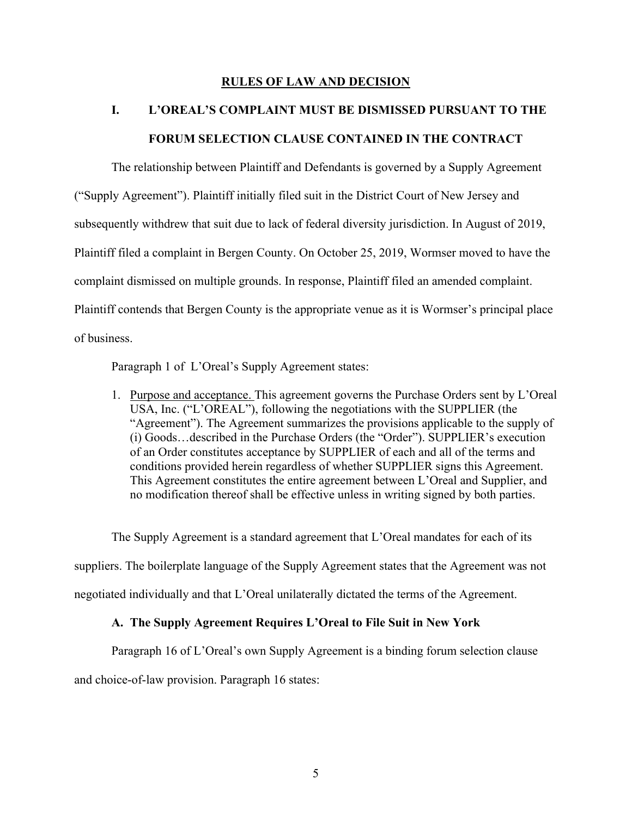### **RULES OF LAW AND DECISION**

# **I. L'OREAL'S COMPLAINT MUST BE DISMISSED PURSUANT TO THE FORUM SELECTION CLAUSE CONTAINED IN THE CONTRACT**

The relationship between Plaintiff and Defendants is governed by a Supply Agreement ("Supply Agreement"). Plaintiff initially filed suit in the District Court of New Jersey and subsequently withdrew that suit due to lack of federal diversity jurisdiction. In August of 2019, Plaintiff filed a complaint in Bergen County. On October 25, 2019, Wormser moved to have the complaint dismissed on multiple grounds. In response, Plaintiff filed an amended complaint. Plaintiff contends that Bergen County is the appropriate venue as it is Wormser's principal place of business.

Paragraph 1 of L'Oreal's Supply Agreement states:

1. Purpose and acceptance. This agreement governs the Purchase Orders sent by L'Oreal USA, Inc. ("L'OREAL"), following the negotiations with the SUPPLIER (the "Agreement"). The Agreement summarizes the provisions applicable to the supply of (i) Goods…described in the Purchase Orders (the "Order"). SUPPLIER's execution of an Order constitutes acceptance by SUPPLIER of each and all of the terms and conditions provided herein regardless of whether SUPPLIER signs this Agreement. This Agreement constitutes the entire agreement between L'Oreal and Supplier, and no modification thereof shall be effective unless in writing signed by both parties.

The Supply Agreement is a standard agreement that L'Oreal mandates for each of its suppliers. The boilerplate language of the Supply Agreement states that the Agreement was not negotiated individually and that L'Oreal unilaterally dictated the terms of the Agreement.

## **A. The Supply Agreement Requires L'Oreal to File Suit in New York**

Paragraph 16 of L'Oreal's own Supply Agreement is a binding forum selection clause

and choice-of-law provision. Paragraph 16 states: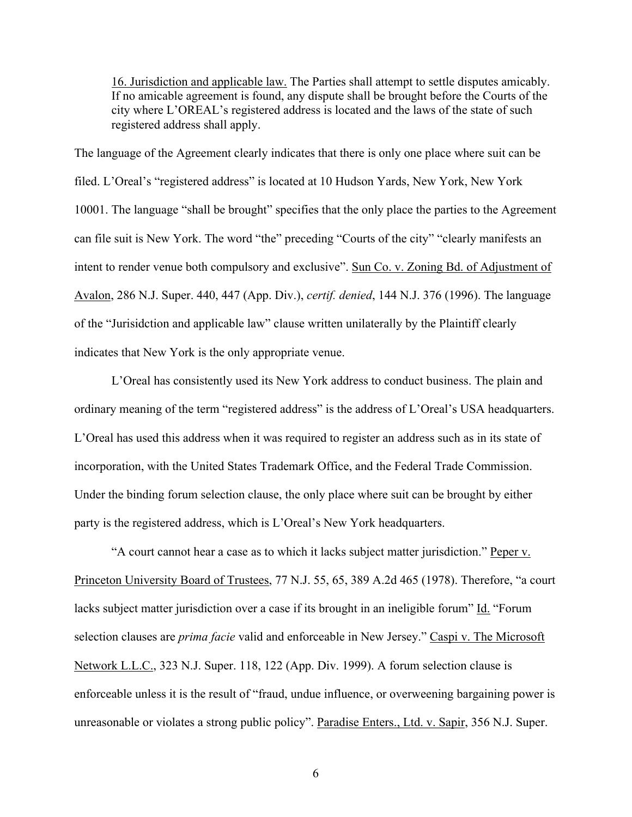16. Jurisdiction and applicable law. The Parties shall attempt to settle disputes amicably. If no amicable agreement is found, any dispute shall be brought before the Courts of the city where L'OREAL's registered address is located and the laws of the state of such registered address shall apply.

The language of the Agreement clearly indicates that there is only one place where suit can be filed. L'Oreal's "registered address" is located at 10 Hudson Yards, New York, New York 10001. The language "shall be brought" specifies that the only place the parties to the Agreement can file suit is New York. The word "the" preceding "Courts of the city" "clearly manifests an intent to render venue both compulsory and exclusive". Sun Co. v. Zoning Bd. of Adjustment of Avalon, 286 N.J. Super. 440, 447 (App. Div.), *certif. denied*, 144 N.J. 376 (1996). The language of the "Jurisidction and applicable law" clause written unilaterally by the Plaintiff clearly indicates that New York is the only appropriate venue.

L'Oreal has consistently used its New York address to conduct business. The plain and ordinary meaning of the term "registered address" is the address of L'Oreal's USA headquarters. L'Oreal has used this address when it was required to register an address such as in its state of incorporation, with the United States Trademark Office, and the Federal Trade Commission. Under the binding forum selection clause, the only place where suit can be brought by either party is the registered address, which is L'Oreal's New York headquarters.

"A court cannot hear a case as to which it lacks subject matter jurisdiction." Peper v. Princeton University Board of Trustees, 77 N.J. 55, 65, 389 A.2d 465 (1978). Therefore, "a court lacks subject matter jurisdiction over a case if its brought in an ineligible forum" Id. "Forum selection clauses are *prima facie* valid and enforceable in New Jersey." Caspi v. The Microsoft Network L.L.C., 323 N.J. Super. 118, 122 (App. Div. 1999). A forum selection clause is enforceable unless it is the result of "fraud, undue influence, or overweening bargaining power is unreasonable or violates a strong public policy". Paradise Enters., Ltd. v. Sapir, 356 N.J. Super.

6